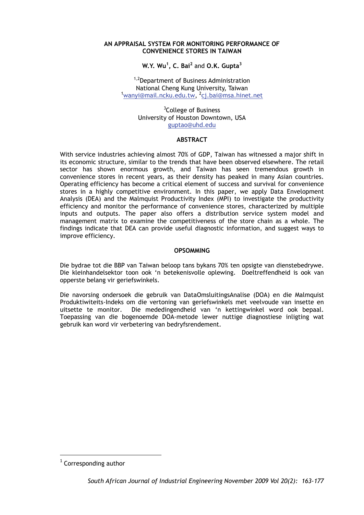### **AN APPRAISAL SYSTEM FOR MONITORING PERFORMANCE OF CONVENIENCE STORES IN TAIWAN**

# **W.Y. Wu<sup>1</sup> , C. Bai<sup>2</sup>** and **O.K. Gupta<sup>3</sup>**

<sup>1,2</sup>Department of Business Administration National Cheng Kung University, Taiwan 1 wanyi@mail.ncku.edu.tw, <sup>2</sup>cj.bai@msa.hinet.net

> <sup>3</sup>College of Business University of Houston Downtown, USA guptao@uhd.edu

#### **ABSTRACT**

With service industries achieving almost 70% of GDP, Taiwan has witnessed a major shift in its economic structure, similar to the trends that have been observed elsewhere. The retail sector has shown enormous growth, and Taiwan has seen tremendous growth in convenience stores in recent years, as their density has peaked in many Asian countries. Operating efficiency has become a critical element of success and survival for convenience stores in a highly competitive environment. In this paper, we apply Data Envelopment Analysis (DEA) and the Malmquist Productivity Index (MPI) to investigate the productivity efficiency and monitor the performance of convenience stores, characterized by multiple inputs and outputs. The paper also offers a distribution service system model and management matrix to examine the competitiveness of the store chain as a whole. The findings indicate that DEA can provide useful diagnostic information, and suggest ways to improve efficiency.

### **OPSOMMING**

Die bydrae tot die BBP van Taiwan beloop tans bykans 70% ten opsigte van dienstebedrywe. Die kleinhandelsektor toon ook 'n betekenisvolle oplewing. Doeltreffendheid is ook van opperste belang vir geriefswinkels.

Die navorsing ondersoek die gebruik van DataOmsluitingsAnalise (DOA) en die Malmquist Produktiwiteits-Indeks om die vertoning van geriefswinkels met veelvoude van insette en uitsette te monitor. Die mededingendheid van 'n kettingwinkel word ook bepaal. Toepassing van die bogenoemde DOA-metode lewer nuttige diagnostiese inligting wat gebruik kan word vir verbetering van bedryfsrendement.

1

Corresponding author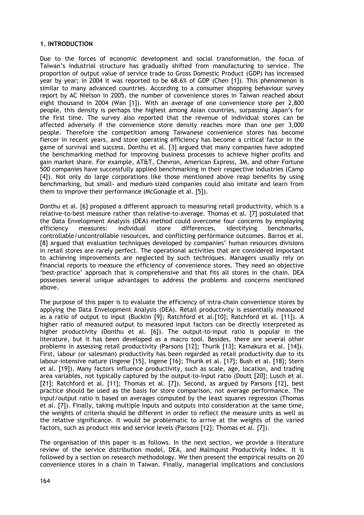### **1. INTRODUCTION**

Due to the forces of economic development and social transformation, the focus of Taiwan's industrial structure has gradually shifted from manufacturing to service. The proportion of output value of service trade to Gross Domestic Product (GDP) has increased year by year; in 2004 it was reported to be 68.6% of GDP (Chen [1]). This phenomenon is similar to many advanced countries. According to a consumer shopping behaviour survey report by AC Nielson in 2005, the number of convenience stores in Taiwan reached about eight thousand in 2004 (Wan [1]). With an average of one convenience store per 2,800 people, this density is perhaps the highest among Asian countries, surpassing Japan's for the first time. The survey also reported that the revenue of individual stores can be affected adversely if the convenience store density reaches more than one per 3,000 people. Therefore the competition among Taiwanese convenience stores has become fiercer in recent years, and store operating efficiency has become a critical factor in the game of survival and success. Donthu et al. [3] argued that many companies have adopted the benchmarking method for improving business processes to achieve higher profits and gain market share. For example, AT&T, Chevron, American Express, 3M, and other Fortune 500 companies have successfully applied benchmarking in their respective industries (Camp [4]). Not only do large corporations like those mentioned above reap benefits by using benchmarking, but small- and medium-sized companies could also imitate and learn from them to improve their performance (McGonagle et al. [5]).

Donthu et al. [6] proposed a different approach to measuring retail productivity, which is a relative-to-best measure rather than relative-to-average. Thomas et al. [7] postulated that the Data Envelopment Analysis (DEA) method could overcome four concerns by employing efficiency measures: individual store differences, identifying benchmarks, controllable/uncontrollable resources, and conflicting performance outcomes. Barros et al. [8] argued that evaluation techniques developed by companies' human resources divisions in retail stores are rarely perfect. The operational activities that are considered important to achieving improvements are neglected by such techniques. Managers usually rely on financial reports to measure the efficiency of convenience stores. They need an objective 'best-practice' approach that is comprehensive and that fits all stores in the chain. DEA possesses several unique advantages to address the problems and concerns mentioned above.

The purpose of this paper is to evaluate the efficiency of intra-chain convenience stores by applying the Data Envelopment Analysis (DEA). Retail productivity is essentially measured as a ratio of output to input (Bucklin [9]; Ratchford et al.[10]; Ratchford et al. [11]). A higher ratio of measured output to measured input factors can be directly interpreted as higher productivity (Donthu et al. [6]). The output-to-input ratio is popular in the literature, but it has been developed as a macro tool. Besides, there are several other problems in assessing retail productivity (Parsons [12]; Thurik [13]; Kamakura et al. [14]). First, labour (or salesman) productivity has been regarded as retail productivity due to its labour-intensive nature (Ingene [15], Ingene [16]; Thurik et al. [17]; Bush et al. [18]; Stern et al. [19]). Many factors influence productivity, such as scale, age, location, and trading area variables, not typically captured by the output-to-input ratio (Doutt [20]; Lusch et al. [21]; Ratchford et al. [11]; Thomas et al. [7]). Second, as argued by Parsons [12], best practice should be used as the basis for store comparison, not average performance. The input/output ratio is based on averages computed by the least squares regression (Thomas et al. [7]). Finally, taking multiple inputs and outputs into consideration at the same time, the weights of criteria should be different in order to reflect the measure units as well as the relative significance. It would be problematic to arrive at the weights of the varied factors, such as product mix and service levels (Parsons [12]; Thomas et al. [7]).

The organisation of this paper is as follows. In the next section, we provide a literature review of the service distribution model, DEA, and Malmquist Productivity Index. It is followed by a section on research methodology. We then present the empirical results on 20 convenience stores in a chain in Taiwan. Finally, managerial implications and conclusions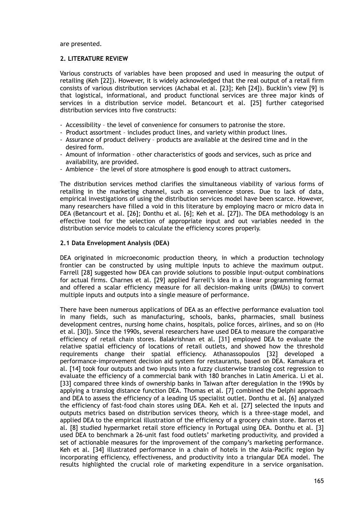are presented.

### **2. LITERATURE REVIEW**

Various constructs of variables have been proposed and used in measuring the output of retailing (Keh [22]). However, it is widely acknowledged that the real output of a retail firm consists of various distribution services (Achabal et al. [23]; Keh [24]). Bucklin's view [9] is that logistical, informational, and product functional services are three major kinds of services in a distribution service model. Betancourt et al. [25] further categorised distribution services into five constructs:

- Accessibility the level of convenience for consumers to patronise the store.
- Product assortment includes product lines, and variety within product lines.
- Assurance of product delivery products are available at the desired time and in the desired form.
- Amount of information other characteristics of goods and services, such as price and availability, are provided.
- Ambience the level of store atmosphere is good enough to attract customers**.**

The distribution services method clarifies the simultaneous viability of various forms of retailing in the marketing channel, such as convenience stores. Due to lack of data, empirical investigations of using the distribution services model have been scarce. However, many researchers have filled a void in this literature by employing macro or micro data in DEA (Betancourt et al. [26]; Donthu et al. [6]; Keh et al. [27]). The DEA methodology is an effective tool for the selection of appropriate input and out variables needed in the distribution service models to calculate the efficiency scores properly.

### **2.1 Data Envelopment Analysis (DEA)**

DEA originated in microeconomic production theory, in which a production technology frontier can be constructed by using multiple inputs to achieve the maximum output. Farrell [28] suggested how DEA can provide solutions to possible input-output combinations for actual firms. Charnes et al. [29] applied Farrell's idea in a linear programming format and offered a scalar efficiency measure for all decision-making units (DMUs) to convert multiple inputs and outputs into a single measure of performance.

There have been numerous applications of DEA as an effective performance evaluation tool in many fields, such as manufacturing, schools, banks, pharmacies, small business development centres, nursing home chains, hospitals, police forces, airlines, and so on (Ho et al. [30]). Since the 1990s, several researchers have used DEA to measure the comparative efficiency of retail chain stores. Balakrishnan et al. [31] employed DEA to evaluate the relative spatial efficiency of locations of retail outlets, and showed how the threshold requirements change their spatial efficiency. Athanassopoulos [32] developed a performance-improvement decision aid system for restaurants, based on DEA. Kamakura et al. [14] took four outputs and two inputs into a fuzzy clusterwise translog cost regression to evaluate the efficiency of a commercial bank with 180 branches in Latin America. Li et al. [33] compared three kinds of ownership banks in Taiwan after deregulation in the 1990s by applying a translog distance function DEA. Thomas et al. [7] combined the Delphi approach and DEA to assess the efficiency of a leading US specialist outlet. Donthu et al. [6] analyzed the efficiency of fast-food chain stores using DEA. Keh et al. [27] selected the inputs and outputs metrics based on distribution services theory, which is a three-stage model, and applied DEA to the empirical illustration of the efficiency of a grocery chain store. Barros et al. [8] studied hypermarket retail store efficiency in Portugal using DEA. Donthu et al. [3] used DEA to benchmark a 26-unit fast food outlets' marketing productivity, and provided a set of actionable measures for the improvement of the company's marketing performance. Keh et al. [34] illustrated performance in a chain of hotels in the Asia-Pacific region by incorporating efficiency, effectiveness, and productivity into a triangular DEA model. The results highlighted the crucial role of marketing expenditure in a service organisation.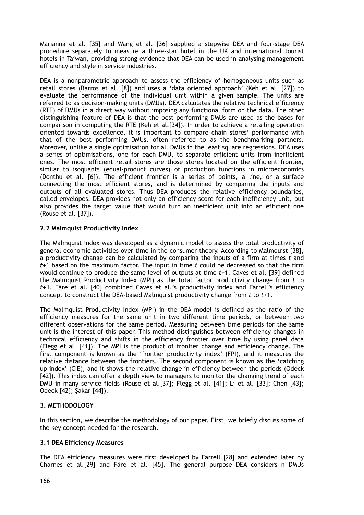Marianna et al. [35] and Wang et al. [36] sapplied a stepwise DEA and four-stage DEA procedure separately to measure a three-star hotel in the UK and international tourist hotels in Taiwan, providing strong evidence that DEA can be used in analysing management efficiency and style in service industries.

DEA is a nonparametric approach to assess the efficiency of homogeneous units such as retail stores (Barros et al. [8]) and uses a 'data oriented approach' (Keh et al. [27]) to evaluate the performance of the individual unit within a given sample. The units are referred to as decision-making units (DMUs). DEA calculates the relative technical efficiency (RTE) of DMUs in a direct way without imposing any functional form on the data. The other distinguishing feature of DEA is that the best performing DMUs are used as the bases for comparison in computing the RTE (Keh et al.[34]). In order to achieve a retailing operation oriented towards excellence, it is important to compare chain stores' performance with that of the best performing DMUs, often referred to as the benchmarking partners. Moreover, unlike a single optimisation for all DMUs in the least square regressions, DEA uses a series of optimisations, one for each DMU, to separate efficient units from inefficient ones. The most efficient retail stores are those stores located on the efficient frontier, similar to isoquants (equal-product curves) of production functions in microeconomics (Donthu et al. [6]). The efficient frontier is a series of points, a line, or a surface connecting the most efficient stores, and is determined by comparing the inputs and outputs of all evaluated stores. Thus DEA produces the relative efficiency boundaries, called envelopes. DEA provides not only an efficiency score for each inefficiency unit, but also provides the target value that would turn an inefficient unit into an efficient one (Rouse et al. [37]).

### **2.2 Malmquist Productivity Index**

The Malmquist Index was developed as a dynamic model to assess the total productivity of general economic activities over time in the consumer theory. According to Malmquist [38]**,** a productivity change can be calculated by comparing the inputs of a firm at times *t* and *t*+1 based on the maximum factor. The input in time *t* could be decreased so that the firm would continue to produce the same level of outputs at time *t*+1. Caves et al. [39] defined the Malmquist Productivity Index (MPI) as the total factor productivity change from *t* to *t***+**1. Färe et al. [40] combined Caves et al.'s productivity index and Farrell's efficiency concept to construct the DEA-based Malmquist productivity change from *t* to *t*+1.

The Malmquist Productivity Index (MPI) in the DEA model is defined as the ratio of the efficiency measures for the same unit in two different time periods, or between two different observations for the same period. Measuring between time periods for the same unit is the interest of this paper. This method distinguishes between efficiency changes in technical efficiency and shifts in the efficiency frontier over time by using panel data (Flegg et al. [41]). The MPI is the product of frontier change and efficiency change. The first component is known as the 'frontier productivity index' (FPI), and it measures the relative distance between the frontiers. The second component is known as the 'catching up index' (CIE), and it shows the relative change in efficiency between the periods (Odeck [42]). This index can offer a depth view to managers to monitor the changing trend of each DMU in many service fields (Rouse et al.[37]; Flegg et al. [41]; Li et al. [33]; Chen [43]; Odeck [42]; Şakar [44]).

## **3. METHODOLOGY**

In this section, we describe the methodology of our paper. First, we briefly discuss some of the key concept needed for the research.

### **3.1 DEA Efficiency Measures**

The DEA efficiency measures were first developed by Farrell [28] and extended later by Charnes et al.[29] and Färe et al. [45]. The general purpose DEA considers n DMUs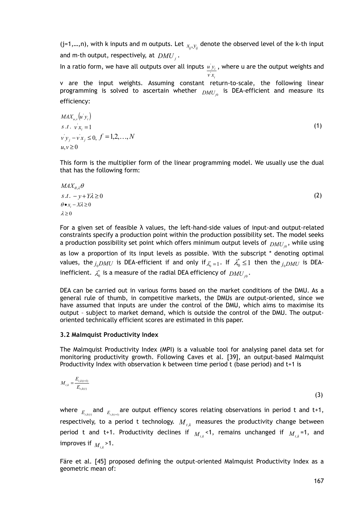(j=1,...,n), with k inputs and m outputs. Let  $x_{i,j}$  denote the observed level of the k-th input and m-th output, respectively, at  $\mathit{DMU}_j$  .

In a ratio form, we have all outputs over all inputs  $u'y_i$ , where u are the output weights and *v x*

*i* v are the input weights. Assuming constant return-to-scale, the following linear programming is solved to ascertain whether  $_{DMU_{j0}}$  is DEA-efficient and measure its efficiency:

$$
MAX_{u,v}(u' y_i)
$$
  
s.t.  $v' x_i = 1$   

$$
v' y_j - v' x_j \le 0, f = 1,2,...,N
$$
  
 $u,v \ge 0$  (1)

This form is the multiplier form of the linear programming model. We usually use the dual that has the following form:

$$
MAX_{\theta,\lambda}\theta
$$
  
s.t.  $-y+Y\lambda \ge 0$   
 $\theta \bullet x_i - X\lambda \ge 0$   
 $\lambda \ge 0$  (2)

For a given set of feasible  $\lambda$  values, the left-hand-side values of input-and output-related constraints specify a production point within the production possibility set. The model seeks a production possibility set point which offers minimum output levels of  $_{DMU_{j0}}$ , while using

as low a proportion of its input levels as possible. With the subscript \* denoting optimal values, the  $j_0DMU$  is DEA-efficient if and only if  $\lambda_0^* = 1$ . If  $\lambda_0^* \le 1$  then the  $j_0DMU$  is DEAinefficient.  $\lambda_{_0}^*$  is a measure of the radial DEA efficiency of  $_{DMU_{j0}}.$ 

DEA can be carried out in various forms based on the market conditions of the DMU. As a general rule of thumb, in competitive markets, the DMUs are output-oriented, since we have assumed that inputs are under the control of the DMU, which aims to maximise its output – subject to market demand, which is outside the control of the DMU. The outputoriented technically efficient scores are estimated in this paper.

### **3.2 Malmquist Productivity Index**

The Malmquist Productivity Index (MPI) is a valuable tool for analysing panel data set for monitoring productivity growth. Following Caves et al. [39], an output-based Malmquist Productivity Index with observation k between time period t (base period) and t+1 is

$$
M_{t,k} = \frac{E_{t,k(t+1)}}{E_{t,k(t)}}
$$
(3)

where  $_{E_{t,k(t)}}$  and  $_{E_{t,k(t+1)}}$  are output effiency scores relating observations in period t and t+1, respectively, to a period t technology.  $M_{t,k}$  measures the productivity change between period t and t+1. Productivity declines if  $M_{t,k}$ <1, remains unchanged if  $M_{t,k}$ =1, and improves if  $M_{t,k}$  > 1.

Färe et al. [45] proposed defining the output-oriented Malmquist Productivity Index as a geometric mean of: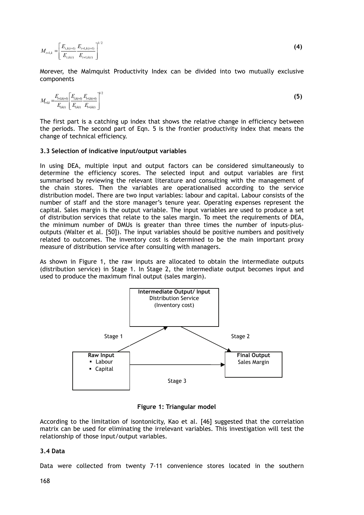$$
M_{t+1,k} = \left[\frac{E_{t,k(t+1)}}{E_{t,k(t)}} \frac{E_{t+1,k(t+1)}}{E_{t+1,k(t)}}\right]^{1/2}
$$
\n(4)

Morever, the Malmquist Productivity Index can be divided into two mutually exclusive components

$$
M_{t+1,k} = \frac{E_{t+1,k(t+1)}}{E_{t,k(t)}} \left[ \frac{E_{t,k(t+1)}}{E_{t+1,k(t)}} \right]^{1/2}
$$
\n(5)

The first part is a catching up index that shows the relative change in efficiency between the periods. The second part of Eqn. 5 is the frontier productivity index that means the change of technical efficiency.

#### **3.3 Selection of indicative input/output variables**

In using DEA, multiple input and output factors can be considered simultaneously to determine the efficiency scores. The selected input and output variables are first summarised by reviewing the relevant literature and consulting with the management of the chain stores. Then the variables are operationalised according to the service distribution model. There are two input variables: labour and capital. Labour consists of the number of staff and the store manager's tenure year. Operating expenses represent the capital. Sales margin is the output variable. The input variables are used to produce a set of distribution services that relate to the sales margin. To meet the requirements of DEA, the minimum number of DMUs is greater than three times the number of inputs-plusoutputs (Walter et al. [50]). The input variables should be positive numbers and positively related to outcomes. The inventory cost is determined to be the main important proxy measure of distribution service after consulting with managers.

As shown in Figure 1, the raw inputs are allocated to obtain the intermediate outputs (distribution service) in Stage 1. In Stage 2, the intermediate output becomes input and used to produce the maximum final output (sales margin).



**Figure 1: Triangular model** 

According to the limitation of isontonicity, Kao et al. [46] suggested that the correlation matrix can be used for eliminating the irrelevant variables. This investigation will test the relationship of those input/output variables.

#### **3.4 Data**

Data were collected from twenty 7-11 convenience stores located in the southern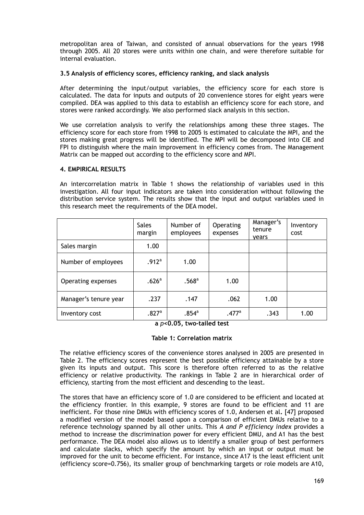metropolitan area of Taiwan, and consisted of annual observations for the years 1998 through 2005. All 20 stores were units within one chain, and were therefore suitable for internal evaluation.

### **3.5 Analysis of efficiency scores, efficiency ranking, and slack analysis**

After determining the input/output variables, the efficiency score for each store is calculated. The data for inputs and outputs of 20 convenience stores for eight years were compiled. DEA was applied to this data to establish an efficiency score for each store, and stores were ranked accordingly. We also performed slack analysis in this section.

We use correlation analysis to verify the relationships among these three stages. The efficiency score for each store from 1998 to 2005 is estimated to calculate the MPI, and the stores making great progress will be identified. The MPI will be decomposed into CIE and FPI to distinguish where the main improvement in efficiency comes from. The Management Matrix can be mapped out according to the efficiency score and MPI.

### **4. EMPIRICAL RESULTS**

An intercorrelation matrix in Table 1 shows the relationship of variables used in this investigation. All four input indicators are taken into consideration without following the distribution service system. The results show that the input and output variables used in this research meet the requirements of the DEA model.

|                       | <b>Sales</b><br>margin | Number of<br>employees | Operating<br>expenses | Manager's<br>tenure<br>vears | Inventory<br>cost |
|-----------------------|------------------------|------------------------|-----------------------|------------------------------|-------------------|
| Sales margin          | 1.00                   |                        |                       |                              |                   |
| Number of employees   | .912 <sup>a</sup>      | 1.00                   |                       |                              |                   |
| Operating expenses    | .626 <sup>a</sup>      | .568 <sup>a</sup>      | 1.00                  |                              |                   |
| Manager's tenure year | .237                   | .147                   | .062                  | 1.00                         |                   |
| Inventory cost        | .827a                  | $.854^{\circ}$         | .477a                 | .343                         | 1.00              |

**a** *p***<0.05, two-tailed test** 

### **Table 1: Correlation matrix**

The relative efficiency scores of the convenience stores analysed in 2005 are presented in Table 2. The efficiency scores represent the best possible efficiency attainable by a store given its inputs and output. This score is therefore often referred to as the relative efficiency or relative productivity. The rankings in Table 2 are in hierarchical order of efficiency, starting from the most efficient and descending to the least.

The stores that have an efficiency score of 1.0 are considered to be efficient and located at the efficiency frontier. In this example, 9 stores are found to be efficient and 11 are inefficient. For those nine DMUs with efficiency scores of 1.0, Andersen et al**.** [47] proposed a modified version of the model based upon a comparison of efficient DMUs relative to a reference technology spanned by all other units. This *A and P efficiency index* provides a method to increase the discrimination power for every efficient DMU, and A1 has the best performance. The DEA model also allows us to identify a smaller group of best performers and calculate slacks, which specify the amount by which an input or output must be improved for the unit to become efficient. For instance, since A17 is the least efficient unit (efficiency score=0.756), its smaller group of benchmarking targets or role models are A10,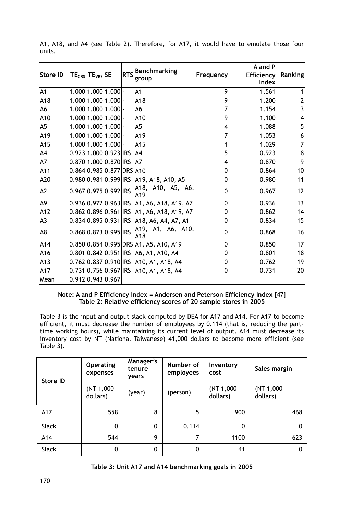| Store ID       | $TE_{CRS}$ TE <sub>VRS</sub> SE |  | RTS Benchmarking<br>group                  | Frequency | A and P<br>Efficiency<br>Index | Ranking |
|----------------|---------------------------------|--|--------------------------------------------|-----------|--------------------------------|---------|
| A1             | $1.000 1.000 1.000 $ -          |  | A <sub>1</sub>                             | 9         | 1.561                          |         |
| A18            | 1.000 1.000 1.000               |  | A18                                        | 9         | 1.200                          |         |
| A <sub>6</sub> | 1.000 1.000 1.000               |  | A <sub>6</sub>                             | 7         | 1.154                          | 3       |
| A10            | 1.000 1.000 1.000               |  | A10                                        | 9         | 1.100                          | 4       |
| A <sub>5</sub> | 1.000 1.000 1.000               |  | A <sub>5</sub>                             | 4         | 1.088                          | 5       |
| A19            | 1.000 1.000 1.000               |  | A19                                        | 7         | 1.053                          | 6       |
| A15            | 1.000 1.000 1.000               |  | A15                                        |           | 1.029                          |         |
| A4             | $0.923 1.000 0.923 $ IRS        |  | A4                                         | 5         | 0.923                          | 8       |
| A7             | 0.870 1.000 0.870 IRS           |  | IA7                                        | 4         | 0.870                          | 9       |
| A11            | 0.864 0.985 0.877 DRS A10       |  |                                            | 0         | 0.864                          | 10      |
| A20            | 0.980 0.981 0.999 IRS           |  | A19, A18, A10, A5                          | 0         | 0.980                          | 11      |
| A <sub>2</sub> | 0.967 0.975 0.992 IRS           |  | A18, A10, A5, A6,<br>A <sub>19</sub>       | 0         | 0.967                          | 12      |
| A9             |                                 |  | 0.936 0.972 0.963 IRS A1, A6, A18, A19, A7 | 0         | 0.936                          | 13      |
| A12            |                                 |  | 0.862 0.896 0.961 IRS A1, A6, A18, A19, A7 | 0         | 0.862                          | 14      |
| A <sub>3</sub> | $0.834 0.895 0.931 $ IRS        |  | A18, A6, A4, A7, A1                        | 0         | 0.834                          | 15      |
| A8             | 0.868 0.873 0.995 IRS           |  | A19, A1, A6, A10,<br>A18                   | 0         | 0.868                          | 16      |
| A14            |                                 |  | 0.850 0.854 0.995 DRS A1, A5, A10, A19     | 0         | 0.850                          | 17      |
| A16            |                                 |  | 0.801 0.842 0.951 IRS A6, A1, A10, A4      | 0         | 0.801                          | 18      |
| A13            |                                 |  | 0.762 0.837 0.910 IRS A10, A1, A18, A4     | 0         | 0.762                          | 19      |
| A17            |                                 |  | 0.731 0.756 0.967 IRS 410, A1, A18, A4     | 0         | 0.731                          | 20      |
| Mean           | 0.912 0.943 0.967               |  |                                            |           |                                |         |

A1, A18, and A4 (see Table 2). Therefore, for A17, it would have to emulate those four units.

### **Note: A and P Efficiency Index = Andersen and Peterson Efficiency Index** [47] **Table 2: Relative efficiency scores of 20 sample stores in 2005**

Table 3 is the input and output slack computed by DEA for A17 and A14. For A17 to become efficient, it must decrease the number of employees by 0.114 (that is, reducing the parttime working hours), while maintaining its current level of output. A14 must decrease its inventory cost by NT (National Taiwanese) 41,000 dollars to become more efficient (see Table 3).

|          | <b>Operating</b><br>expenses | Manager's<br>tenure<br>vears | Number of<br>employees | Inventory<br>cost     | Sales margin          |
|----------|------------------------------|------------------------------|------------------------|-----------------------|-----------------------|
| Store ID | (NT 1,000<br>dollars)        | (year)                       | (person)               | (NT 1,000<br>dollars) | (NT 1,000<br>dollars) |
| A17      | 558                          | 8                            | 5                      | 900                   | 468                   |
| Slack    | $\mathbf{0}$                 | $\mathbf{0}$                 | 0.114                  | 0                     | $\mathbf 0$           |
| A14      | 544                          | 9                            | 7                      | 1100                  | 623                   |
| Slack    | 0                            | $\mathbf{0}$                 | 0                      | 41                    | $\mathbf{0}$          |

| Table 3: Unit A17 and A14 benchmarking goals in 2005 |  |  |
|------------------------------------------------------|--|--|
|------------------------------------------------------|--|--|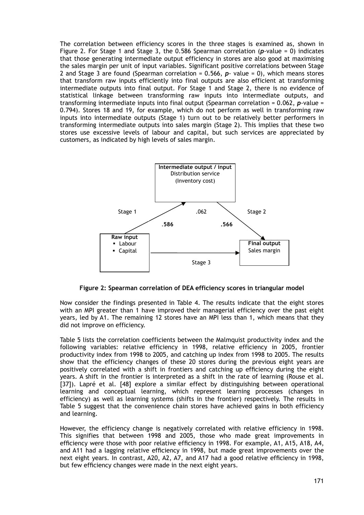The correlation between efficiency scores in the three stages is examined as, shown in Figure 2. For Stage 1 and Stage 3, the 0.586 Spearman correlation (*p*-value = 0) indicates that those generating intermediate output efficiency in stores are also good at maximising the sales margin per unit of input variables. Significant positive correlations between Stage 2 and Stage 3 are found (Spearman correlation = 0.566, *p*- value = 0), which means stores that transform raw inputs efficiently into final outputs are also efficient at transforming intermediate outputs into final output. For Stage 1 and Stage 2, there is no evidence of statistical linkage between transforming raw inputs into intermediate outputs, and transforming intermediate inputs into final output (Spearman correlation = 0.062, *p*-value = 0.794). Stores 18 and 19, for example, which do not perform as well in transforming raw inputs into intermediate outputs (Stage 1) turn out to be relatively better performers in transforming intermediate outputs into sales margin (Stage 2). This implies that these two stores use excessive levels of labour and capital, but such services are appreciated by customers, as indicated by high levels of sales margin.



**Figure 2: Spearman correlation of DEA efficiency scores in triangular model** 

Now consider the findings presented in Table 4. The results indicate that the eight stores with an MPI greater than 1 have improved their managerial efficiency over the past eight years, led by A1. The remaining 12 stores have an MPI less than 1, which means that they did not improve on efficiency.

Table 5 lists the correlation coefficients between the Malmquist productivity index and the following variables: relative efficiency in 1998, relative efficiency in 2005, frontier productivity index from 1998 to 2005, and catching up index from 1998 to 2005. The results show that the efficiency changes of these 20 stores during the previous eight years are positively correlated with a shift in frontiers and catching up efficiency during the eight years. A shift in the frontier is interpreted as a shift in the rate of learning (Rouse et al. [37]). Lapré et al. [48] explore a similar effect by distinguishing between operational learning and conceptual learning, which represent learning processes (changes in efficiency) as well as learning systems (shifts in the frontier) respectively. The results in Table 5 suggest that the convenience chain stores have achieved gains in both efficiency and learning.

However, the efficiency change is negatively correlated with relative efficiency in 1998. This signifies that between 1998 and 2005, those who made great improvements in efficiency were those with poor relative efficiency in 1998. For example, A1, A15, A18, A4, and A11 had a lagging relative efficiency in 1998, but made great improvements over the next eight years. In contrast, A20, A2, A7, and A17 had a good relative efficiency in 1998, but few efficiency changes were made in the next eight years.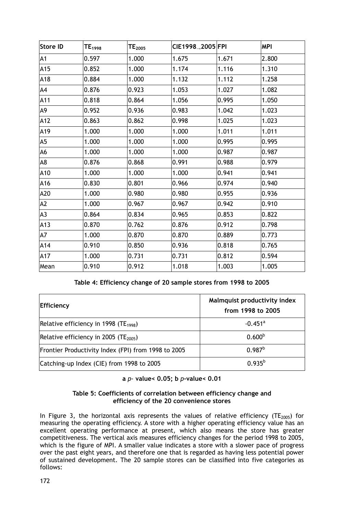| <b>Store ID</b> | $\mathsf{TE}_{1998}$ | $TE_{2005}$ | CIE1998 <sub>-2005</sub> FPI |       | <b>MPI</b> |
|-----------------|----------------------|-------------|------------------------------|-------|------------|
| A <sub>1</sub>  | 0.597                | 1.000       | 1.675                        | 1.671 | 2.800      |
| A15             | 0.852                | 1.000       | 1.174                        | 1.116 | 1.310      |
| A18             | 0.884                | 1.000       | 1.132                        | 1.112 | 1.258      |
| A4              | 0.876                | 0.923       | 1.053                        | 1.027 | 1.082      |
| A11             | 0.818                | 0.864       | 1.056                        | 0.995 | 1.050      |
| A <sub>9</sub>  | 0.952                | 0.936       | 0.983                        | 1.042 | 1.023      |
| A12             | 0.863                | 0.862       | 0.998                        | 1.025 | 1.023      |
| A19             | 1.000                | 1.000       | 1.000                        | 1.011 | 1.011      |
| A <sub>5</sub>  | 1.000                | 1.000       | 1.000                        | 0.995 | 0.995      |
| A <sub>6</sub>  | 1.000                | 1.000       | 1.000                        | 0.987 | 0.987      |
| A <sub>8</sub>  | 0.876                | 0.868       | 0.991                        | 0.988 | 0.979      |
| A10             | 1.000                | 1.000       | 1.000                        | 0.941 | 0.941      |
| A16             | 0.830                | 0.801       | 0.966                        | 0.974 | 0.940      |
| A20             | 1.000                | 0.980       | 0.980                        | 0.955 | 0.936      |
| A2              | 1.000                | 0.967       | 0.967                        | 0.942 | 0.910      |
| A <sub>3</sub>  | 0.864                | 0.834       | 0.965                        | 0.853 | 0.822      |
| A13             | 0.870                | 0.762       | 0.876                        | 0.912 | 0.798      |
| A7              | 1.000                | 0.870       | 0.870                        | 0.889 | 0.773      |
| A14             | 0.910                | 0.850       | 0.936                        | 0.818 | 0.765      |
| A17             | 1.000                | 0.731       | 0.731                        | 0.812 | 0.594      |
| Mean            | 0.910                | 0.912       | 1.018                        | 1.003 | 1.005      |

**Table 4: Efficiency change of 20 sample stores from 1998 to 2005**

| Efficiency                                          | Malmquist productivity index<br>from 1998 to 2005 |  |  |
|-----------------------------------------------------|---------------------------------------------------|--|--|
| Relative efficiency in 1998 (TE <sub>1998</sub> )   | $-0.451$ <sup>a</sup>                             |  |  |
| Relative efficiency in 2005 (TE <sub>2005</sub> )   | 0.600 <sup>b</sup>                                |  |  |
| Frontier Productivity Index (FPI) from 1998 to 2005 | $0.987^{b}$                                       |  |  |
| Catching-up Index (CIE) from 1998 to 2005           | $0.935^{b}$                                       |  |  |

**a** *p-* **value< 0.05; b** *p***-value< 0.01** 

## **Table 5: Coefficients of correlation between efficiency change and efficiency of the 20 convenience stores**

In Figure 3, the horizontal axis represents the values of relative efficiency (TE<sub>2005</sub>) for measuring the operating efficiency. A store with a higher operating efficiency value has an excellent operating performance at present, which also means the store has greater competitiveness. The vertical axis measures efficiency changes for the period 1998 to 2005, which is the figure of MPI. A smaller value indicates a store with a slower pace of progress over the past eight years, and therefore one that is regarded as having less potential power of sustained development. The 20 sample stores can be classified into five categories as follows: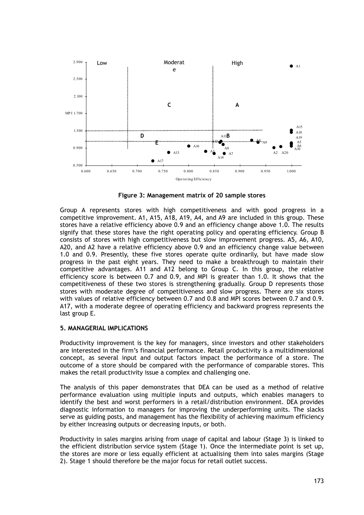

**Figure 3: Management matrix of 20 sample stores** 

Group A represents stores with high competitiveness and with good progress in a competitive improvement. A1, A15, A18, A19, A4, and A9 are included in this group. These stores have a relative efficiency above 0.9 and an efficiency change above 1.0. The results signify that these stores have the right operating policy and operating efficiency. Group B consists of stores with high competitiveness but slow improvement progress. A5, A6, A10, A20, and A2 have a relative efficiency above 0.9 and an efficiency change value between 1.0 and 0.9. Presently, these five stores operate quite ordinarily, but have made slow progress in the past eight years. They need to make a breakthrough to maintain their competitive advantages. A11 and A12 belong to Group C. In this group, the relative efficiency score is between 0.7 and 0.9, and MPI is greater than 1.0. It shows that the competitiveness of these two stores is strengthening gradually. Group D represents those stores with moderate degree of competitiveness and slow progress. There are six stores with values of relative efficiency between 0.7 and 0.8 and MPI scores between 0.7 and 0.9. A17, with a moderate degree of operating efficiency and backward progress represents the last group E.

### **5. MANAGERIAL IMPLICATIONS**

Productivity improvement is the key for managers, since investors and other stakeholders are interested in the firm's financial performance. Retail productivity is a multidimensional concept, as several input and output factors impact the performance of a store. The outcome of a store should be compared with the performance of comparable stores. This makes the retail productivity issue a complex and challenging one.

The analysis of this paper demonstrates that DEA can be used as a method of relative performance evaluation using multiple inputs and outputs, which enables managers to identify the best and worst performers in a retail/distribution environment. DEA provides diagnostic information to managers for improving the underperforming units. The slacks serve as guiding posts, and management has the flexibility of achieving maximum efficiency by either increasing outputs or decreasing inputs, or both.

Productivity in sales margins arising from usage of capital and labour (Stage 3) is linked to the efficient distribution service system (Stage 1). Once the intermediate point is set up, the stores are more or less equally efficient at actualising them into sales margins (Stage 2). Stage 1 should therefore be the major focus for retail outlet success.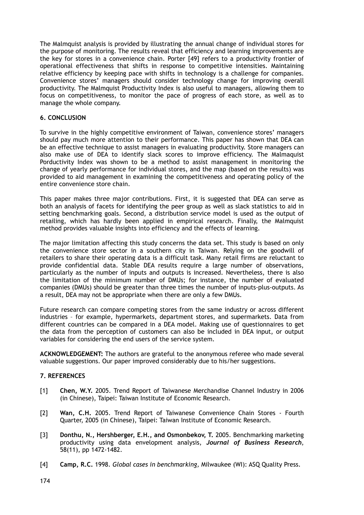The Malmquist analysis is provided by illustrating the annual change of individual stores for the purpose of monitoring. The results reveal that efficiency and learning improvements are the key for stores in a convenience chain. Porter [49] refers to a productivity frontier of operational effectiveness that shifts in response to competitive intensities. Maintaining relative efficiency by keeping pace with shifts in technology is a challenge for companies. Convenience stores' managers should consider technology change for improving overall productivity. The Malmquist Productivity Index is also useful to managers, allowing them to focus on competitiveness, to monitor the pace of progress of each store, as well as to manage the whole company.

### **6. CONCLUSION**

To survive in the highly competitive environment of Taiwan, convenience stores' managers should pay much more attention to their performance. This paper has shown that DEA can be an effective technique to assist managers in evaluating productivity. Store managers can also make use of DEA to identify slack scores to improve efficiency. The Malmaquist Porductivity Index was shown to be a method to assist management in monitoring the change of yearly performance for individual stores, and the map (based on the results) was provided to aid management in examining the competitiveness and operating policy of the entire convenience store chain.

This paper makes three major contributions. First, it is suggested that DEA can serve as both an analysis of facets for identifying the peer group as well as slack statistics to aid in setting benchmarking goals. Second, a distribution service model is used as the output of retailing, which has hardly been applied in empirical research. Finally, the Malmquist method provides valuable insights into efficiency and the effects of learning.

The major limitation affecting this study concerns the data set. This study is based on only the convenience store sector in a southern city in Taiwan. Relying on the goodwill of retailers to share their operating data is a difficult task. Many retail firms are reluctant to provide confidential data. Stable DEA results require a large number of observations, particularly as the number of inputs and outputs is increased. Nevertheless, there is also the limitation of the minimum number of DMUs; for instance, the number of evaluated companies (DMUs) should be greater than three times the number of inputs-plus-outputs. As a result, DEA may not be appropriate when there are only a few DMUs.

Future research can compare competing stores from the same industry or across different industries – for example, hypermarkets, department stores, and supermarkets. Data from different countries can be compared in a DEA model. Making use of questionnaires to get the data from the perception of customers can also be included in DEA input, or output variables for considering the end users of the service system.

**ACKNOWLEDGEMENT:** The authors are grateful to the anonymous referee who made several valuable suggestions. Our paper improved considerably due to his/her suggestions.

### **7. REFERENCES**

- [1] **Chen, W.Y.** 2005. Trend Report of Taiwanese Merchandise Channel Industry in 2006 (in Chinese), Taipei: Taiwan Institute of Economic Research.
- [2] **Wan, C.H.** 2005. Trend Report of Taiwanese Convenience Chain Stores Fourth Quarter, 2005 (in Chinese), Taipei: Taiwan Institute of Economic Research.
- [3] **Donthu, N., Hershberger, E.H., and Osmonbekov, T.** 2005. Benchmarking marketing productivity using data envelopment analysis, *Journal of Business Research*, 58(11), pp 1472-1482.
- [4] **Camp, R.C.** 1998. *Global cases in benchmarking,* Milwaukee (WI): ASQ Quality Press.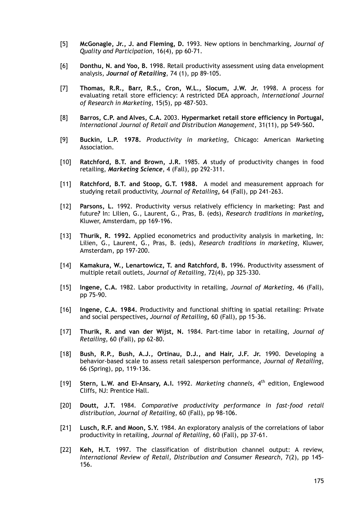- [5] **McGonagle, Jr., J. and Fleming, D.** 1993. New options in benchmarking, *Journal of Quality and Participation*, 16(4), pp 60-71.
- [6] **Donthu, N. and Yoo, B.** 1998. Retail productivity assessment using data envelopment analysis, *Journal of Retailing*, 74 (1), pp 89-105.
- [7] **Thomas, R.R., Barr, R.S., Cron, W.L., Slocum, J.W. Jr.** 1998. A process for evaluating retail store efficiency: A restricted DEA approach, *International Journal of Research in Marketing*, 15(5), pp 487-503.
- [8] **Barros, C.P. and Alves, C.A.** 2003. **Hypermarket retail store efficiency in Portugal,**  *International Journal of Retail and Distribution Management*, 31(11), pp 549-560**.**
- [9] **Buckin, L.P. 1978.** *Productivity in marketing*, Chicago: American Marketing Association.
- [10] **Ratchford, B.T. and Brown, J.R.** 1985. *A* study of productivity changes in food retailing, *Marketing Science*, 4 (Fall), pp 292-311.
- [11] **Ratchford, B.T. and Stoop, G.T. 1988.** A model and measurement approach for studying retail productivity, *Journal of Retailing***,** 64 (Fall), pp 241-263.
- [12] **Parsons, L.** 1992. Productivity versus relatively efficiency in marketing: Past and future*?* In: Lilien, G., Laurent, G., Pras, B. (eds), *Research traditions in marketing***,** Kluwer, Amsterdam, pp 169-196.
- [13] **Thurik, R. 1992.** Applied econometrics and productivity analysis in marketing, In: Lilien, G., Laurent, G., Pras, B. (eds), *Research traditions in marketing*, Kluwer, Amsterdam, pp 197-200.
- [14] **Kamakura, W., Lenartowicz, T. and Ratchford, B.** 1996. Productivity assessment of multiple retail outlets, *Journal of Retailing*, 72(4), pp 325-330.
- [15] **Ingene, C.A.** 1982. Labor productivity in retailing, *Journal of Marketing*, 46 (Fall), pp 75-90.
- [16] **Ingene, C.A. 1984.** Productivity and functional shifting in spatial retailing: Private and social perspectives**,** *Journal of Retailing***,** 60 (Fall), pp 15-36.
- [17] **Thurik, R. and van der Wijst, N.** 1984. Part-time labor in retailing, *Journal of Retailing*, 60 (Fall), pp 62-80.
- [18] **Bush, R.P., Bush, A.J., Ortinau, D.J., and Hair, J.F. Jr.** 1990. Developing a behavior-based scale to assess retail salesperson performance, *Journal of Retailing*, 66 (Spring), pp, 119-136.
- [19] **Stern, L.W. and El-Ansary, A.I.** 1992. *Marketing channels*, 4th edition, Englewood Cliffs, NJ: Prentice Hall.
- [20] **Doutt, J.T.** 1984. *Comparative productivity performance in fast-food retail distribution*, *Journal of Retailing*, 60 (Fall), pp 98-106.
- [21] **Lusch, R.F. and Moon, S.Y.** 1984. An exploratory analysis of the correlations of labor productivity in retailing, *Journal of Retailing*, 60 (Fall), pp 37-61.
- [22] **Keh, H.T.** 1997. The classification of distribution channel output: A review, *International Review of Retail, Distribution and Consumer Research,* 7(2), pp 145- 156.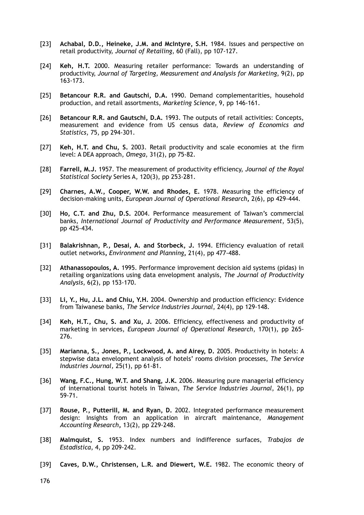- [23] **Achabal, D.D., Heineke, J.M. and McIntyre, S.H.** 1984. Issues and perspective on retail productivity, *Journal of Retailing*, 60 (Fall), pp 107-127.
- [24] **Keh, H.T.** 2000. Measuring retailer performance: Towards an understanding of productivity, *Journal of Targeting, Measurement and Analysis for Marketing*, 9(2), pp 163-173.
- [25] **Betancour R.R. and Gautschi, D.A.** 1990. Demand complementarities, household production, and retail assortments, *Marketing Science*, 9, pp 146-161.
- [26] **Betancour R.R. and Gautschi, D.A.** 1993. The outputs of retail activities: Concepts, measurement and evidence from US census data, *Review of Economics and Statistics*, 75, pp 294-301.
- [27] **Keh, H.T. and Chu, S.** 2003. Retail productivity and scale economies at the firm level: A DEA approach, *Omega*, 31(2), pp 75-82.
- [28] **Farrell, M.J.** 1957. The measurement of productivity efficiency, *Journal of the Royal Statistical Society* Series A, 120(3), pp 253-281.
- [29] **Charnes, A.W., Cooper, W.W. and Rhodes, E.** 1978. Measuring the efficiency of decision-making units, *European Journal of Operational Research***,** 2(6), pp 429-444.
- [30] **Ho, C.T. and Zhu, D.S.** 2004. Performance measurement of Taiwan's commercial banks, *International Journal of Productivity and Performance Measurement*, 53(5), pp 425-434.
- [31] **Balakrishnan, P., Desai, A. and Storbeck, J.** 1994. Efficiency evaluation of retail outlet networks**,** *Environment and Planning***,** 21(4), pp 477-488.
- [32] **Athanassopoulos, A.** 1995. Performance improvement decision aid systems (pidas) in retailing organizations using data envelopment analysis, *The Journal of Productivity Analysis*, 6(2), pp 153-170.
- [33] **Li, Y., Hu, J.L. and Chiu, Y.H.** 2004. Ownership and production efficiency: Evidence from Taiwanese banks, *The Service Industries Journal*, 24(4), pp 129-148.
- [34] **Keh, H.T., Chu, S. and Xu, J.** 2006. Efficiency, effectiveness and productivity of marketing in services, *European Journal of Operational Research*, 170(1), pp 265- 276.
- [35] **Marianna, S., Jones, P., Lockwood, A. and Airey, D.** 2005. Productivity in hotels: A stepwise data envelopment analysis of hotels' rooms division processes, *The Service Industries Journal,* 25(1), pp 61-81.
- [36] **Wang, F.C., Hung, W.T. and Shang, J.K.** 2006. Measuring pure managerial efficiency of international tourist hotels in Taiwan, *The Service Industries Journal*, 26(1), pp 59-71.
- [37] **Rouse, P., Putterill, M. and Ryan, D.** 2002. Integrated performance measurement design: Insights from an application in aircraft maintenance, *Management Accounting Research***,** 13(2), pp 229-248.
- [38] **Malmquist, S.** 1953. Index numbers and indifference surfaces, *Trabajos de Estadistica*, 4, pp 209-242.
- [39] **Caves, D.W., Christensen, L.R. and Diewert, W.E.** 1982. The economic theory of